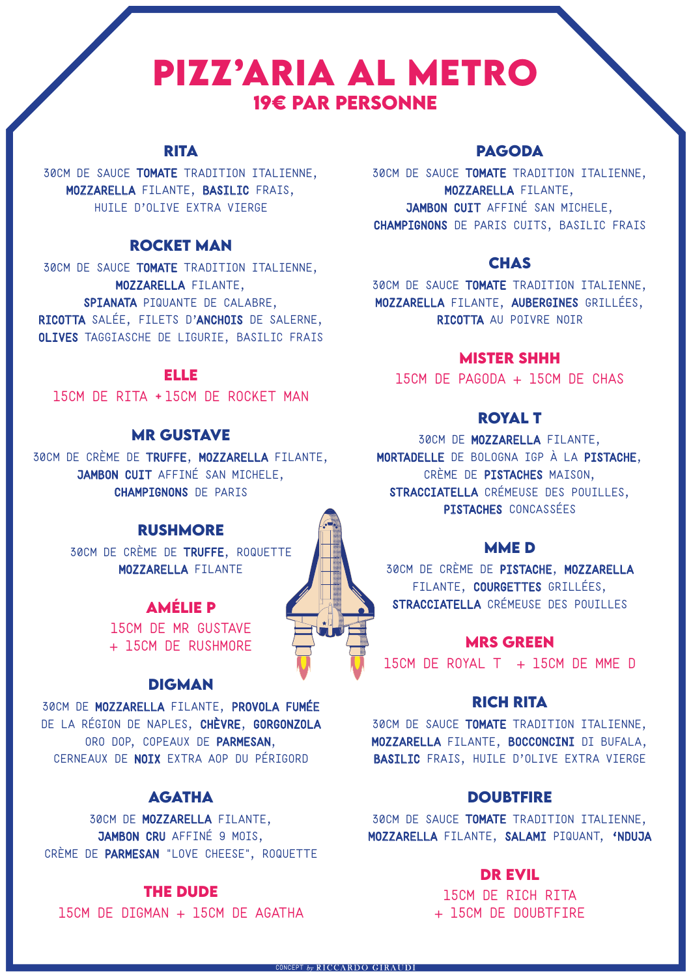# **PIZZ'ARIA AL METRO 19€ PAR PERSONNE**

## **RITA**

MOZZARELLA FILANTE, BASILIC FRAIS, HUILE D'OLIVE EXTRA VIERGE

## **ROCKET MAN**

30CM DE SAUCE TOMATE TRADITION ITALIENNE, MOZZARELLA FILANTE, SPIANATA PIQUANTE DE CALABRE, RICOTTA SALÉE, FILETS D'ANCHOIS DE SALERNE, OLIVES TAGGIASCHE DE LIGURIE, BASILIC FRAIS

# **ELLE**

15CM DE RITA + 15CM DE ROCKET MAN

## **MR GUSTAVE**

30CM DE CREME DE **TRUFFE, MOZZARELLA** FILANTE, **hortadelle** de Bologna igp a la **pistache,** JAMBON CUIT AFFINÉ SAN MICHELE, CHAMPIGNONS DE PARIS

# **RUSHMORE**

30CM DE CRÈME DE TRUFFE, ROQUETTE MOZZARELLA FILANTE

## **AMÉLIE P**

15CM DE MR GUSTAVE + 15CM DE RUSHMORE

#### **DIGMAN**

30CM DE MOZZARELLA FILANTE, PROVOLA FUMÉE DE LA RÉGION DE NAPLES, CHÈVRE, GORGONZOLA ORO DOP, COPEAUX DE PARMESAN, CERNEAUX DE NOIX EXTRA AOP DU PÉRIGORD

## **AGATHA**

30CM DE MOZZARELLA FILANTE, JAMBON CRU AFFINÉ 9 MOIS, CRÈME DE PARMESAN "LOVE CHEESE", ROQUETTE

#### **THE DUDE**

15CM DE DIGMAN + 15CM DE AGATHA

# **PAGODA**

30CM DE SAUCE TOMATE TRADITION ITALIENNE, 30CM DE SAUCE TOMATE TRADITION ITALIENNE, MOZZARELLA FILANTE, JAMBON CUIT AFFINÉ SAN MICHELE, CHAMPIGNONS DE PARIS CUITS, BASILIC FRAIS

#### **CHAS**

30CM DE SAUCE TOMATE TRADITION ITALIENNE, MOZZARELLA FILANTE, AUBERGINES GRILLÉES, RICOTTA AU POIVRE NOIR

### **MISTER SHHH**

15CM DE PAGODA + 15CM DE CHAS

## **ROYAL T**

30CM DE MOZZARELLA FILANTE, CRÈME DE PISTACHES MAISON, STRACCIATELLA CRÉMEUSE DES POUILLES, PISTACHES CONCASSÉES

# **MME D**

30CM DE CRÈME DE PISTACHE, MOZZARELLA FILANTE, COURGETTES GRILLÉES, STRACCIATELLA CRÉMEUSE DES POUILLES

### **MRS GREEN**

15CM DE ROYAL T + 15CM DE MME D

#### **RICH RITA**

30CM DE SAUCE TOMATE TRADITION ITALIENNE, MOZZARELLA FILANTE, BOCCONCINI DI BUFALA, BASILIC FRAIS, HUILE D'OLIVE EXTRA VIERGE

#### **DOUBTFIRE**

30CM DE SAUCE TOMATE TRADITION ITALIENNE, MOZZARELLA FILANTE, SALAMI PIQUANT, 'NDUJA

#### **DR EVIL**

15CM DE RICH RITA + 15CM DE DOUBTFIRE



ONCEPT by  $\text{RICCARDO}$   $\text{GIRAUDI}$